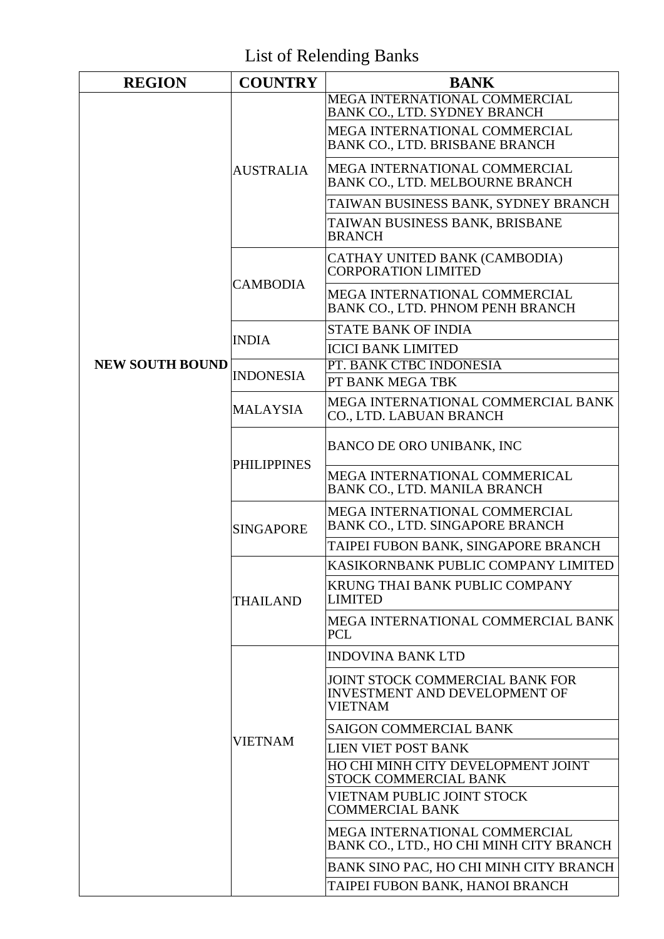List of Relending Banks

| <b>REGION</b>          | <b>COUNTRY</b>     | <b>BANK</b>                                                                                      |
|------------------------|--------------------|--------------------------------------------------------------------------------------------------|
|                        | <b>AUSTRALIA</b>   | MEGA INTERNATIONAL COMMERCIAL<br>BANK CO., LTD. SYDNEY BRANCH                                    |
|                        |                    | MEGA INTERNATIONAL COMMERCIAL<br>BANK CO., LTD. BRISBANE BRANCH                                  |
|                        |                    | MEGA INTERNATIONAL COMMERCIAL<br>BANK CO., LTD. MELBOURNE BRANCH                                 |
|                        |                    | TAIWAN BUSINESS BANK, SYDNEY BRANCH                                                              |
|                        |                    | TAIWAN BUSINESS BANK, BRISBANE<br><b>BRANCH</b>                                                  |
|                        | <b>CAMBODIA</b>    | CATHAY UNITED BANK (CAMBODIA)<br><b>CORPORATION LIMITED</b>                                      |
|                        |                    | MEGA INTERNATIONAL COMMERCIAL<br>BANK CO., LTD. PHNOM PENH BRANCH                                |
|                        | <b>INDIA</b>       | <b>STATE BANK OF INDIA</b>                                                                       |
|                        |                    | <b>ICICI BANK LIMITED</b>                                                                        |
| <b>NEW SOUTH BOUND</b> |                    | PT. BANK CTBC INDONESIA                                                                          |
|                        | <b>INDONESIA</b>   | PT BANK MEGA TBK                                                                                 |
|                        | <b>MALAYSIA</b>    | MEGA INTERNATIONAL COMMERCIAL BANK<br>CO., LTD. LABUAN BRANCH                                    |
|                        | <b>PHILIPPINES</b> | BANCO DE ORO UNIBANK, INC                                                                        |
|                        |                    | MEGA INTERNATIONAL COMMERICAL<br>BANK CO., LTD. MANILA BRANCH                                    |
|                        | <b>SINGAPORE</b>   | MEGA INTERNATIONAL COMMERCIAL<br>BANK CO., LTD. SINGAPORE BRANCH                                 |
|                        |                    | TAIPEI FUBON BANK, SINGAPORE BRANCH                                                              |
|                        |                    | KASIKORNBANK PUBLIC COMPANY LIMITED                                                              |
|                        | <b>THAILAND</b>    | KRUNG THAI BANK PUBLIC COMPANY<br><b>LIMITED</b>                                                 |
|                        |                    | MEGA INTERNATIONAL COMMERCIAL BANK<br><b>PCL</b>                                                 |
|                        | <b>VIETNAM</b>     | <b>INDOVINA BANK LTD</b>                                                                         |
|                        |                    | <b>JOINT STOCK COMMERCIAL BANK FOR</b><br><b>INVESTMENT AND DEVELOPMENT OF</b><br><b>VIETNAM</b> |
|                        |                    | <b>SAIGON COMMERCIAL BANK</b>                                                                    |
|                        |                    | <b>LIEN VIET POST BANK</b>                                                                       |
|                        |                    | HO CHI MINH CITY DEVELOPMENT JOINT<br>STOCK COMMERCIAL BANK                                      |
|                        |                    | VIETNAM PUBLIC JOINT STOCK<br><b>COMMERCIAL BANK</b>                                             |
|                        |                    | MEGA INTERNATIONAL COMMERCIAL<br>BANK CO., LTD., HO CHI MINH CITY BRANCH                         |
|                        |                    | BANK SINO PAC, HO CHI MINH CITY BRANCH                                                           |
|                        |                    | TAIPEI FUBON BANK, HANOI BRANCH                                                                  |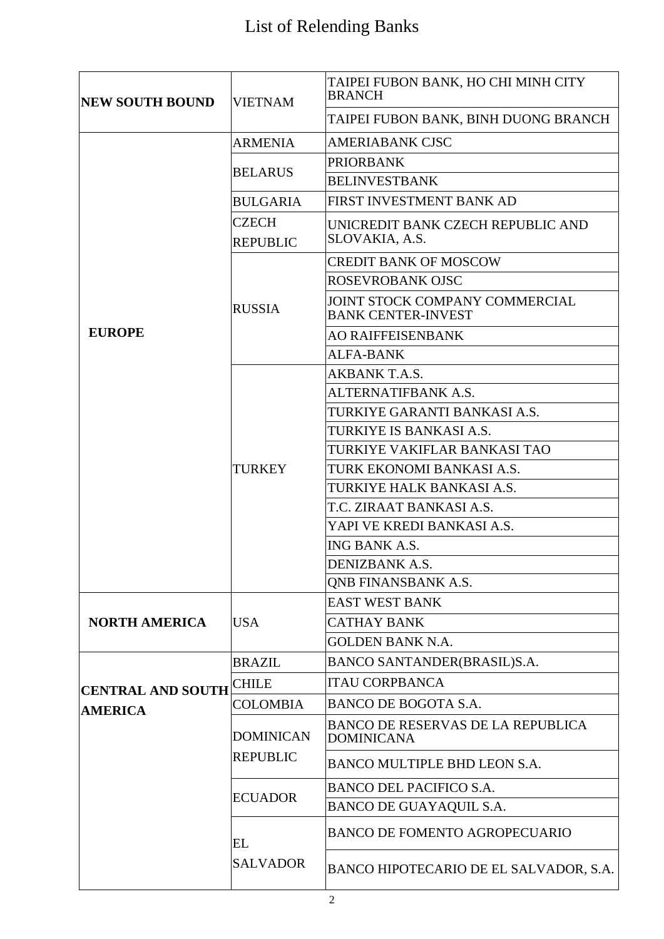## List of Relending Banks

| <b>NEW SOUTH BOUND</b>                     | <b>VIETNAM</b>                                        | TAIPEI FUBON BANK, HO CHI MINH CITY<br><b>BRANCH</b>          |
|--------------------------------------------|-------------------------------------------------------|---------------------------------------------------------------|
|                                            |                                                       | TAIPEI FUBON BANK, BINH DUONG BRANCH                          |
|                                            | <b>ARMENIA</b>                                        | <b>AMERIABANK CJSC</b>                                        |
|                                            | <b>BELARUS</b>                                        | <b>PRIORBANK</b>                                              |
|                                            |                                                       | <b>BELINVESTBANK</b>                                          |
|                                            | <b>BULGARIA</b>                                       | FIRST INVESTMENT BANK AD                                      |
|                                            | <b>CZECH</b>                                          | UNICREDIT BANK CZECH REPUBLIC AND                             |
|                                            | <b>REPUBLIC</b>                                       | SLOVAKIA, A.S.                                                |
|                                            | <b>RUSSIA</b>                                         | <b>CREDIT BANK OF MOSCOW</b>                                  |
|                                            |                                                       | ROSEVROBANK OJSC                                              |
|                                            |                                                       | JOINT STOCK COMPANY COMMERCIAL<br><b>BANK CENTER-INVEST</b>   |
| <b>EUROPE</b>                              |                                                       | <b>AO RAIFFEISENBANK</b>                                      |
|                                            |                                                       | <b>ALFA-BANK</b>                                              |
|                                            |                                                       | AKBANK T.A.S.                                                 |
|                                            |                                                       | ALTERNATIFBANK A.S.                                           |
|                                            | TURKEY                                                | TURKIYE GARANTI BANKASI A.S.                                  |
|                                            |                                                       | TURKIYE IS BANKASI A.S.                                       |
|                                            |                                                       | TURKIYE VAKIFLAR BANKASI TAO                                  |
|                                            |                                                       | TURK EKONOMI BANKASI A.S.                                     |
|                                            |                                                       | TURKIYE HALK BANKASI A.S.                                     |
|                                            |                                                       | T.C. ZIRAAT BANKASI A.S.                                      |
|                                            |                                                       | YAPI VE KREDI BANKASI A.S.                                    |
|                                            |                                                       | ING BANK A.S.                                                 |
|                                            |                                                       | DENIZBANK A.S.                                                |
|                                            |                                                       | <b>QNB FINANSBANK A.S.</b>                                    |
|                                            | <b>USA</b>                                            | <b>EAST WEST BANK</b>                                         |
| <b>NORTH AMERICA</b>                       |                                                       | <b>CATHAY BANK</b>                                            |
|                                            |                                                       | <b>GOLDEN BANK N.A.</b>                                       |
| <b>CENTRAL AND SOUTH</b><br><b>AMERICA</b> | <b>BRAZIL</b>                                         | BANCO SANTANDER(BRASIL)S.A.                                   |
|                                            | <b>CHILE</b>                                          | <b>ITAU CORPBANCA</b>                                         |
|                                            | <b>COLOMBIA</b>                                       | BANCO DE BOGOTA S.A.                                          |
|                                            | <b>DOMINICAN</b><br><b>REPUBLIC</b><br><b>ECUADOR</b> | <b>BANCO DE RESERVAS DE LA REPUBLICA</b><br><b>DOMINICANA</b> |
|                                            |                                                       | BANCO MULTIPLE BHD LEON S.A.                                  |
|                                            |                                                       | <b>BANCO DEL PACIFICO S.A.</b>                                |
|                                            |                                                       | BANCO DE GUAYAQUIL S.A.                                       |
|                                            | EL<br><b>SALVADOR</b>                                 | <b>BANCO DE FOMENTO AGROPECUARIO</b>                          |
|                                            |                                                       | BANCO HIPOTECARIO DE EL SALVADOR, S.A.                        |